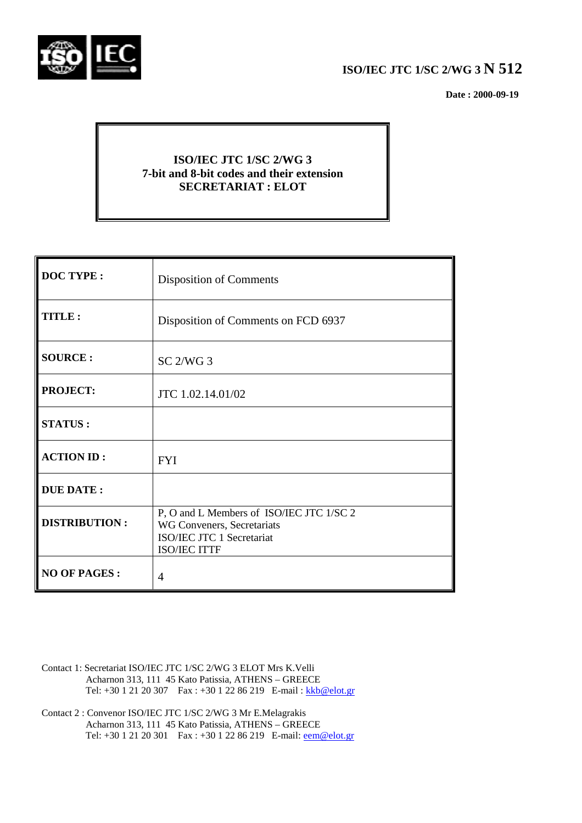

# **ISO/IEC JTC 1/SC 2/WG 3 N 512**

 **Date : 2000-09-19**

## **ISO/IEC JTC 1/SC 2/WG 3 7-bit and 8-bit codes and their extension SECRETARIAT : ELOT**

| <b>DOC TYPE:</b>     | <b>Disposition of Comments</b>                                                                                             |
|----------------------|----------------------------------------------------------------------------------------------------------------------------|
| TITLE:               | Disposition of Comments on FCD 6937                                                                                        |
| <b>SOURCE:</b>       | SC <sub>2</sub> /WG <sub>3</sub>                                                                                           |
| <b>PROJECT:</b>      | JTC 1.02.14.01/02                                                                                                          |
| <b>STATUS:</b>       |                                                                                                                            |
| <b>ACTION ID:</b>    | <b>FYI</b>                                                                                                                 |
| <b>DUE DATE:</b>     |                                                                                                                            |
| <b>DISTRIBUTION:</b> | P, O and L Members of ISO/IEC JTC 1/SC 2<br>WG Conveners, Secretariats<br>ISO/IEC JTC 1 Secretariat<br><b>ISO/IEC ITTF</b> |
| <b>NO OF PAGES:</b>  | 4                                                                                                                          |

- Contact 1: Secretariat ISO/IEC JTC 1/SC 2/WG 3 ELOT Mrs K.Velli Acharnon 313, 111 45 Kato Patissia, ATHENS – GREECE Tel: +30 1 21 20 307 Fax : +30 1 22 86 219 E-mail : kkb@elot.gr
- Contact 2 : Convenor ISO/IEC JTC 1/SC 2/WG 3 Mr E.Melagrakis Acharnon 313, 111 45 Kato Patissia, ATHENS – GREECE Tel: +30 1 21 20 301 Fax : +30 1 22 86 219 E-mail: <u>eem@elot.gr</u>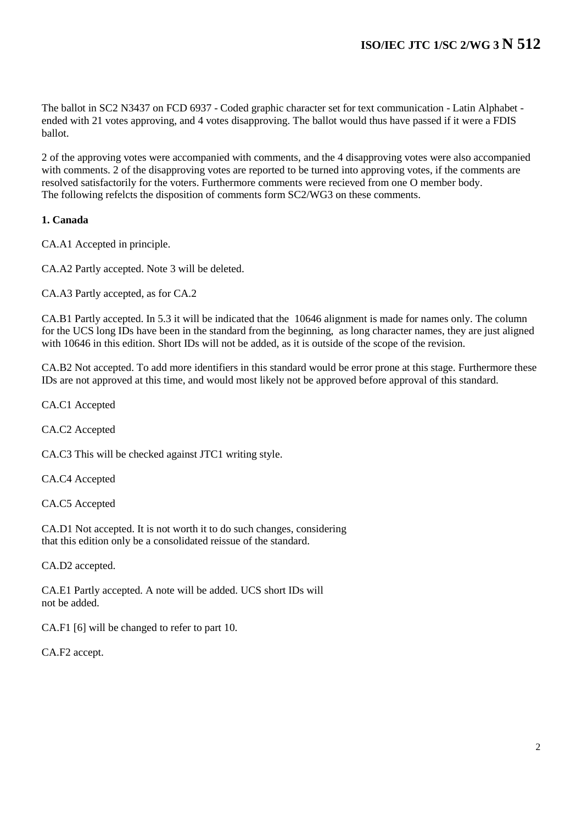The ballot in SC2 N3437 on FCD 6937 - Coded graphic character set for text communication - Latin Alphabet ended with 21 votes approving, and 4 votes disapproving. The ballot would thus have passed if it were a FDIS ballot.

2 of the approving votes were accompanied with comments, and the 4 disapproving votes were also accompanied with comments. 2 of the disapproving votes are reported to be turned into approving votes, if the comments are resolved satisfactorily for the voters. Furthermore comments were recieved from one O member body. The following refelcts the disposition of comments form SC2/WG3 on these comments.

#### **1. Canada**

CA.A1 Accepted in principle.

CA.A2 Partly accepted. Note 3 will be deleted.

CA.A3 Partly accepted, as for CA.2

CA.B1 Partly accepted. In 5.3 it will be indicated that the 10646 alignment is made for names only. The column for the UCS long IDs have been in the standard from the beginning, as long character names, they are just aligned with 10646 in this edition. Short IDs will not be added, as it is outside of the scope of the revision.

CA.B2 Not accepted. To add more identifiers in this standard would be error prone at this stage. Furthermore these IDs are not approved at this time, and would most likely not be approved before approval of this standard.

CA.C1 Accepted

CA.C2 Accepted

CA.C3 This will be checked against JTC1 writing style.

CA.C4 Accepted

CA.C5 Accepted

CA.D1 Not accepted. It is not worth it to do such changes, considering that this edition only be a consolidated reissue of the standard.

CA.D2 accepted.

CA.E1 Partly accepted. A note will be added. UCS short IDs will not be added.

CA.F1 [6] will be changed to refer to part 10.

CA.F2 accept.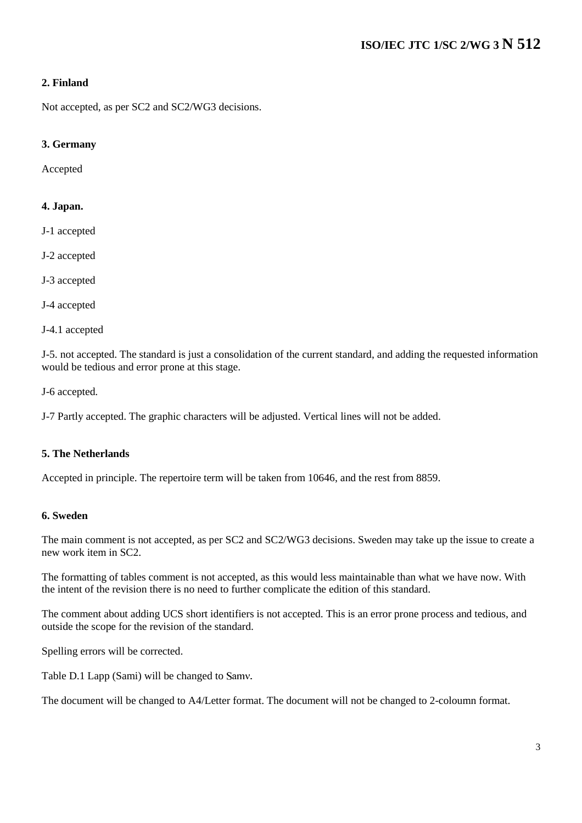#### **2. Finland**

Not accepted, as per SC2 and SC2/WG3 decisions.

#### **3. Germany**

Accepted

#### **4. Japan.**

- J-1 accepted
- J-2 accepted
- J-3 accepted
- J-4 accepted
- J-4.1 accepted

J-5. not accepted. The standard is just a consolidation of the current standard, and adding the requested information would be tedious and error prone at this stage.

J-6 accepted.

J-7 Partly accepted. The graphic characters will be adjusted. Vertical lines will not be added.

#### **5. The Netherlands**

Accepted in principle. The repertoire term will be taken from 10646, and the rest from 8859.

#### **6. Sweden**

The main comment is not accepted, as per SC2 and SC2/WG3 decisions. Sweden may take up the issue to create a new work item in SC2.

The formatting of tables comment is not accepted, as this would less maintainable than what we have now. With the intent of the revision there is no need to further complicate the edition of this standard.

The comment about adding UCS short identifiers is not accepted. This is an error prone process and tedious, and outside the scope for the revision of the standard.

Spelling errors will be corrected.

Table D.1 Lapp (Sami) will be changed to Samv.

The document will be changed to A4/Letter format. The document will not be changed to 2-coloumn format.